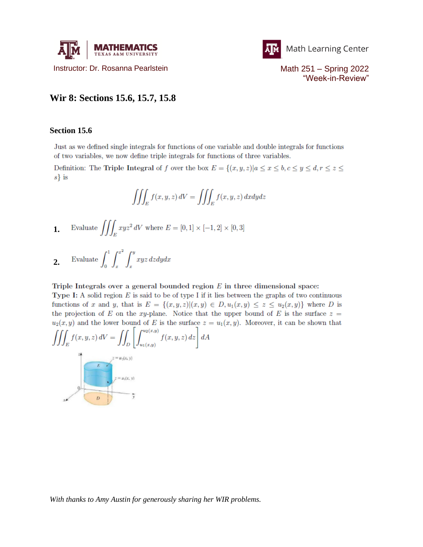



"Week-in-Review"

## **Wir 8: Sections 15.6, 15.7, 15.8**

## **Section 15.6**

Just as we defined single integrals for functions of one variable and double integrals for functions of two variables, we now define triple integrals for functions of three variables.

Definition: The Triple Integral of f over the box  $E = \{(x, y, z) | a \le x \le b, c \le y \le d, r \le z \le d\}$  $s\}$  is

$$
\iiint_E f(x, y, z) dV = \iiint_E f(x, y, z) dx dy dz
$$

**1.** Evaluate 
$$
\iiint_E xyz^2 dV
$$
 where  $E = [0, 1] \times [-1, 2] \times [0, 3]$ 

$$
2. \qquad \text{Evaluate } \int_0^1 \int_x^{x^2} \int_x^y xyz \, dz \, dy \, dx
$$

## Triple Integrals over a general bounded region  $E$  in three dimensional space:

Type I: A solid region  $E$  is said to be of type I if it lies between the graphs of two continuous functions of x and y, that is  $E = \{(x, y, z) | (x, y) \in D, u_1(x, y) \leq z \leq u_2(x, y)\}\$  where D is the projection of E on the xy-plane. Notice that the upper bound of E is the surface  $z =$  $u_2(x, y)$  and the lower bound of E is the surface  $z = u_1(x, y)$ . Moreover, it can be shown that

$$
\iiint_E f(x, y, z) dV = \iint_D \left[ \int_{u_1(x, y)}^{u_2(x, y)} f(x, y, z) dz \right] dA
$$

*With thanks to Amy Austin for generously sharing her WIR problems.*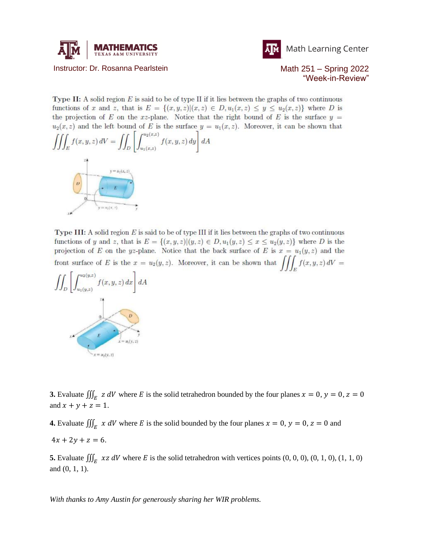



Math Learning Center

Instructor: Dr. Rosanna Pearlstein Math 251 – Spring 2022

"Week-in-Review"

**Type II:** A solid region  $E$  is said to be of type II if it lies between the graphs of two continuous functions of x and z, that is  $E = \{(x, y, z) | (x, z) \in D, u_1(x, z) \leq y \leq u_2(x, z)\}\$  where D is the projection of E on the xz-plane. Notice that the right bound of E is the surface  $y =$  $u_2(x, z)$  and the left bound of E is the surface  $y = u_1(x, z)$ . Moreover, it can be shown that



Type III: A solid region  $E$  is said to be of type III if it lies between the graphs of two continuous functions of y and z, that is  $E = \{(x, y, z) | (y, z) \in D, u_1(y, z) \le x \le u_2(y, z)\}\$  where D is the projection of E on the yz-plane. Notice that the back surface of E is  $x = u_1(y, z)$  and the front surface of E is the  $x = u_2(y, z)$ . Moreover, it can be shown that  $\iiint_E f(x, y, z) dV =$ 



**3.** Evaluate  $\iiint_E z dV$  where E is the solid tetrahedron bounded by the four planes  $x = 0$ ,  $y = 0$ ,  $z = 0$ and  $x + y + z = 1$ .

**4.** Evaluate  $\iiint_E x dV$  where E is the solid bounded by the four planes  $x = 0$ ,  $y = 0$ ,  $z = 0$  and  $4x + 2y + z = 6.$ 

**5.** Evaluate  $\iiint_E xz dV$  where E is the solid tetrahedron with vertices points  $(0, 0, 0)$ ,  $(0, 1, 0)$ ,  $(1, 1, 0)$ and (0, 1, 1).

*With thanks to Amy Austin for generously sharing her WIR problems.*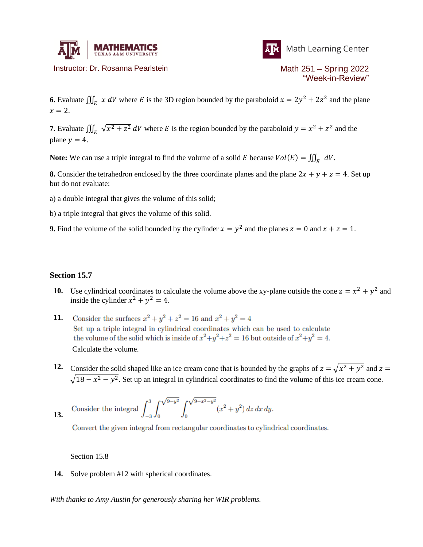

Instructor: Dr. Rosanna Pearlstein Math 251 – Spring 2022



"Week-in-Review"

**6.** Evaluate  $\iiint_E x dV$  where E is the 3D region bounded by the paraboloid  $x = 2y^2 + 2z^2$  and the plane  $x = 2$ .

**7.** Evaluate  $\iiint_E \sqrt{x^2 + z^2} dV$  where E is the region bounded by the paraboloid  $y = x^2 + z^2$  and the plane  $y = 4$ .

**Note:** We can use a triple integral to find the volume of a solid E because  $Vol(E) = \iiint_E dV$ .

**8.** Consider the tetrahedron enclosed by the three coordinate planes and the plane  $2x + y + z = 4$ . Set up but do not evaluate:

a) a double integral that gives the volume of this solid;

b) a triple integral that gives the volume of this solid.

**9.** Find the volume of the solid bounded by the cylinder  $x = y^2$  and the planes  $z = 0$  and  $x + z = 1$ .

## **Section 15.7**

- 10. Use cylindrical coordinates to calculate the volume above the xy-plane outside the cone  $z = x^2 + y^2$  and inside the cylinder  $x^2 + y^2 = 4$ .
- Consider the surfaces  $x^2 + y^2 + z^2 = 16$  and  $x^2 + y^2 = 4$ . **11.** Set up a triple integral in cylindrical coordinates which can be used to calculate the volume of the solid which is inside of  $x^2+y^2+z^2=16$  but outside of  $x^2+y^2=4$ . Calculate the volume.
- 12. Consider the solid shaped like an ice cream cone that is bounded by the graphs of  $z = \sqrt{x^2 + y^2}$  and  $z =$  $\sqrt{18 - x^2 - y^2}$ . Set up an integral in cylindrical coordinates to find the volume of this ice cream cone.

13. Consider the integral 
$$
\int_{-3}^{3} \int_{0}^{\sqrt{9-y^2}} \int_{0}^{\sqrt{9-x^2-y^2}} (x^2 + y^2) dz dx dy
$$

Convert the given integral from rectangular coordinates to cylindrical coordinates.

Section 15.8

**14.** Solve problem #12 with spherical coordinates.

*With thanks to Amy Austin for generously sharing her WIR problems.*